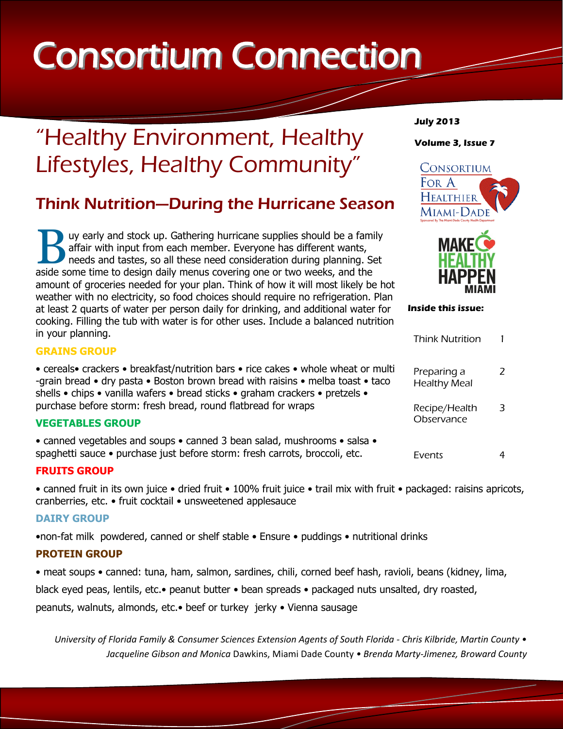# Consortium Connection

# "Healthy Environment, Healthy Lifestyles, Healthy Community"

## Think Nutrition—During the Hurricane Season

Buy early and stock up. Gathering hurricane supplies should be a family affair with input from each member. Everyone has different wants, needs and tastes, so all these need consideration during planning. Se aside some tim uy early and stock up. Gathering hurricane supplies should be a family affair with input from each member. Everyone has different wants, needs and tastes, so all these need consideration during planning. Set amount of groceries needed for your plan. Think of how it will most likely be hot weather with no electricity, so food choices should require no refrigeration. Plan at least 2 quarts of water per person daily for drinking, and additional water for cooking. Filling the tub with water is for other uses. Include a balanced nutrition in your planning.

#### **GRAINS GROUP**

• cereals• crackers • breakfast/nutrition bars • rice cakes • whole wheat or multi -grain bread • dry pasta • Boston brown bread with raisins • melba toast • taco shells • chips • vanilla wafers • bread sticks • graham crackers • pretzels • purchase before storm: fresh bread, round flatbread for wraps

#### **VEGETABLES GROUP**

• canned vegetables and soups • canned 3 bean salad, mushrooms • salsa • spaghetti sauce • purchase just before storm: fresh carrots, broccoli, etc.

#### **FRUITS GROUP**

• canned fruit in its own juice • dried fruit • 100% fruit juice • trail mix with fruit • packaged: raisins apricots, cranberries, etc. • fruit cocktail • unsweetened applesauce

#### **DAIRY GROUP**

•non-fat milk powdered, canned or shelf stable • Ensure • puddings • nutritional drinks

#### **PROTEIN GROUP**

• meat soups • canned: tuna, ham, salmon, sardines, chili, corned beef hash, ravioli, beans (kidney, lima,

black eyed peas, lentils, etc.• peanut butter • bean spreads • packaged nuts unsalted, dry roasted,

peanuts, walnuts, almonds, etc.• beef or turkey jerky • Vienna sausage

*University of Florida Family & Consumer Sciences Extension Agents of South Florida - Chris Kilbride, Martin County • Jacqueline Gibson and Monica* Dawkins, Miami Dade County *• Brenda Marty-Jimenez, Broward County*

#### **July 2013**

**Volume 3, Issue 7**





**Inside this issue:**

| <b>Think Nutrition</b>             |   |
|------------------------------------|---|
| Preparing a<br><b>Healthy Meal</b> | 7 |
| Recipe/Health<br>Observance        | ≺ |
| Fvents                             |   |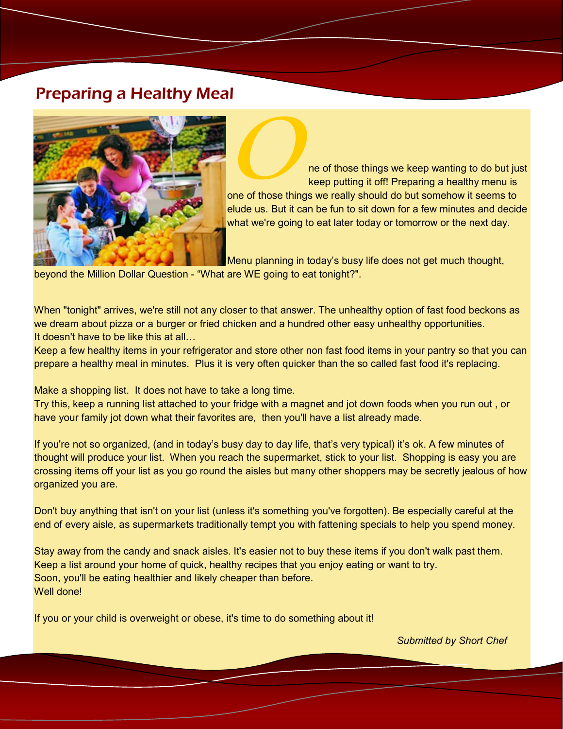### Preparing a Healthy Meal



**O**ne of those things we keep wanting to do but just keep putting it off! Preparing a healthy menu is one of those things we really should do but somehow it seems to elude us. But it can be fun to sit down for a few minutes and decide what we're going to eat later today or tomorrow or the next day.

Menu planning in today's busy life does not get much thought, beyond the Million Dollar Question - "What are WE going to eat tonight?".

When "tonight" arrives, we're still not any closer to that answer. The unhealthy option of fast food beckons as we dream about pizza or a burger or fried chicken and a hundred other easy unhealthy opportunities. It doesn't have to be like this at all…

Keep a few healthy items in your refrigerator and store other non fast food items in your pantry so that you can prepare a healthy meal in minutes. Plus it is very often quicker than the so called fast food it's replacing.

Make a shopping list. It does not have to take a long time.

Try this, keep a running list attached to your fridge with a magnet and jot down foods when you run out , or have your family jot down what their favorites are, then you'll have a list already made.

If you're not so organized, (and in today's busy day to day life, that's very typical) it's ok. A few minutes of thought will produce your list. When you reach the supermarket, stick to your list. Shopping is easy you are crossing items off your list as you go round the aisles but many other shoppers may be secretly jealous of how organized you are.

Don't buy anything that isn't on your list (unless it's something you've forgotten). Be especially careful at the end of every aisle, as supermarkets traditionally tempt you with fattening specials to help you spend money.

Stay away from the candy and snack aisles. It's easier not to buy these items if you don't walk past them. Keep a list around your home of quick, healthy recipes that you enjoy eating or want to try. Soon, you'll be eating healthier and likely cheaper than before. Well done!

If you or your child is overweight or obese, it's time to do something about it!

*Submitted by Short Chef*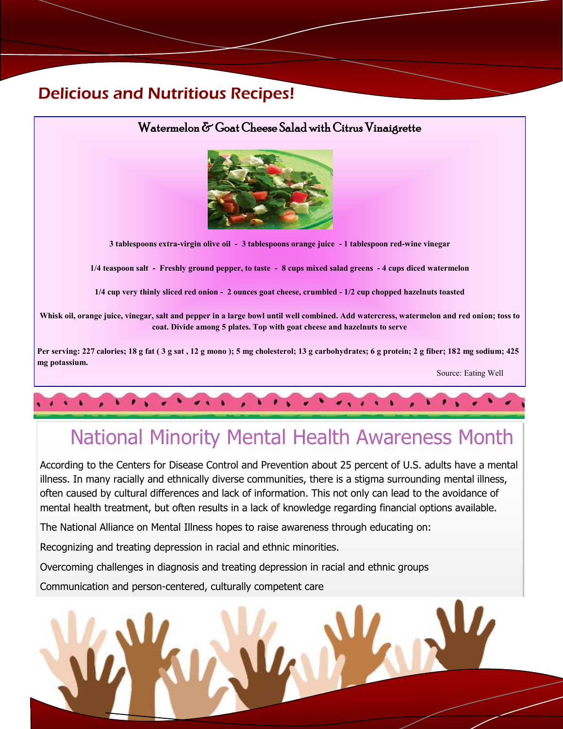### Delicious and Nutritious Recipes!



# National Minority Mental Health Awareness Month

According to the Centers for Disease Control and Prevention about 25 percent of U.S. adults have a mental illness. In many racially and ethnically diverse communities, there is a stigma surrounding mental illness, often caused by cultural differences and lack of information. This not only can lead to the avoidance of mental health treatment, but often results in a lack of knowledge regarding financial options available.

The National Alliance on Mental Illness hopes to raise awareness through educating on:

Recognizing and treating depression in racial and ethnic minorities.

Overcoming challenges in diagnosis and treating depression in racial and ethnic groups

Communication and person-centered, culturally competent care